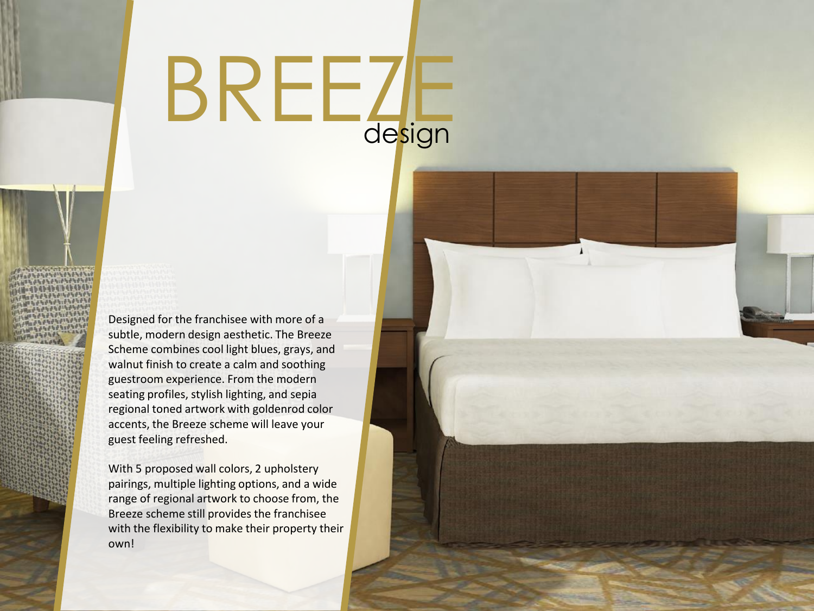# BREEZE design

Designed for the franchisee with more of a subtle, modern design aesthetic. The Breeze Scheme combines cool light blues, grays, and walnut finish to create a calm and soothing guestroom experience. From the modern seating profiles, stylish lighting, and sepia regional toned artwork with goldenrod color accents, the Breeze scheme will leave your guest feeling refreshed.

With 5 proposed wall colors, 2 upholstery pairings, multiple lighting options, and a wide range of regional artwork to choose from, the Breeze scheme still provides the franchisee with the flexibility to make their property their own!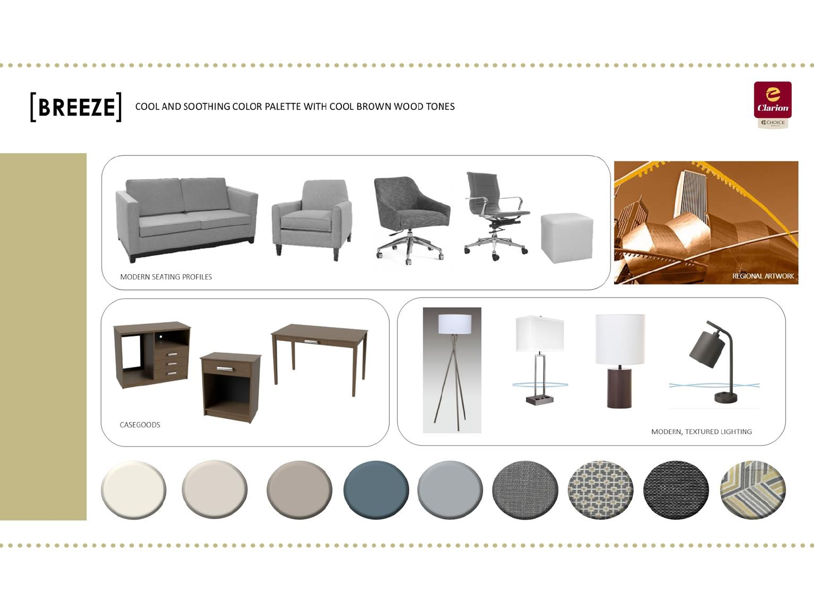## **BREEZE** cool and soothing color palette with cool brown wood tones



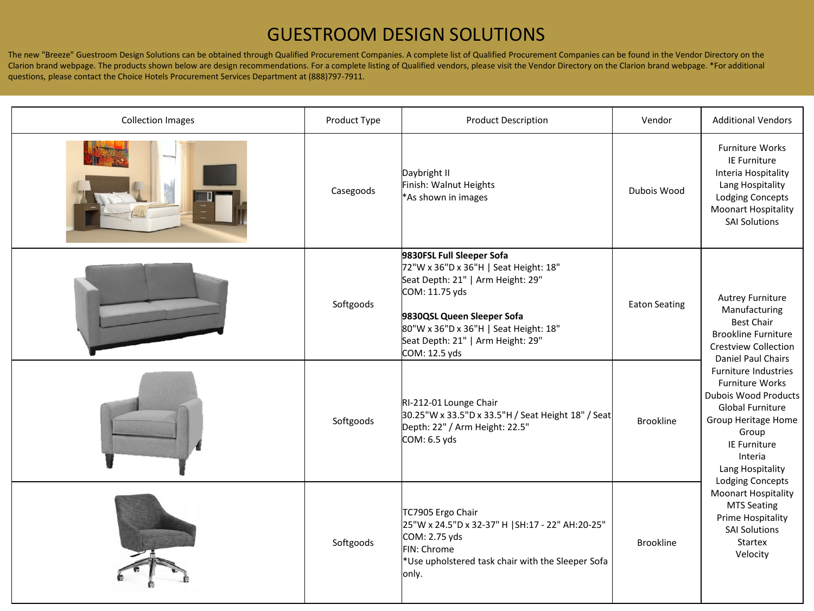#### GUESTROOM DESIGN SOLUTIONS

The new "Breeze" Guestroom Design Solutions can be obtained through Qualified Procurement Companies. A complete list of Qualified Procurement Companies can be found in the Vendor Directory on the Clarion brand webpage. The products shown below are design recommendations. For a complete listing of Qualified vendors, please visit the Vendor Directory on the Clarion brand webpage. \*For additional questions, please contact the Choice Hotels Procurement Services Department at (888)797-7911.

| <b>Collection Images</b> | Product Type | <b>Product Description</b>                                                                                                                                                                                                                             | Vendor               | <b>Additional Vendors</b>                                                                                                                                                                                          |
|--------------------------|--------------|--------------------------------------------------------------------------------------------------------------------------------------------------------------------------------------------------------------------------------------------------------|----------------------|--------------------------------------------------------------------------------------------------------------------------------------------------------------------------------------------------------------------|
|                          | Casegoods    | Daybright II<br>Finish: Walnut Heights<br>*As shown in images                                                                                                                                                                                          | Dubois Wood          | <b>Furniture Works</b><br>IE Furniture<br>Interia Hospitality<br>Lang Hospitality<br><b>Lodging Concepts</b><br><b>Moonart Hospitality</b><br><b>SAI Solutions</b>                                                 |
|                          | Softgoods    | 9830FSL Full Sleeper Sofa<br>72"W x 36"D x 36"H   Seat Height: 18"<br>Seat Depth: 21"   Arm Height: 29"<br>COM: 11.75 yds<br>9830QSL Queen Sleeper Sofa<br>80"W x 36"D x 36"H   Seat Height: 18"<br>Seat Depth: 21"   Arm Height: 29"<br>COM: 12.5 yds | <b>Eaton Seating</b> | Autrey Furniture<br>Manufacturing<br><b>Best Chair</b><br><b>Brookline Furniture</b><br><b>Crestview Collection</b><br>Daniel Paul Chairs                                                                          |
|                          | Softgoods    | RI-212-01 Lounge Chair<br>30.25"W x 33.5"D x 33.5"H / Seat Height 18" / Seat<br>Depth: 22" / Arm Height: 22.5"<br>COM: 6.5 yds                                                                                                                         | <b>Brookline</b>     | Furniture Industries<br><b>Furniture Works</b><br><b>Dubois Wood Products</b><br><b>Global Furniture</b><br>Group Heritage Home<br>Group<br>IE Furniture<br>Interia<br>Lang Hospitality<br><b>Lodging Concepts</b> |
|                          | Softgoods    | TC7905 Ergo Chair<br>25"W x 24.5"D x 32-37" H   SH:17 - 22" AH:20-25"<br>COM: 2.75 yds<br>FIN: Chrome<br>*Use upholstered task chair with the Sleeper Sofa<br>only.                                                                                    | <b>Brookline</b>     | <b>Moonart Hospitality</b><br><b>MTS Seating</b><br>Prime Hospitality<br><b>SAI Solutions</b><br><b>Startex</b><br>Velocity                                                                                        |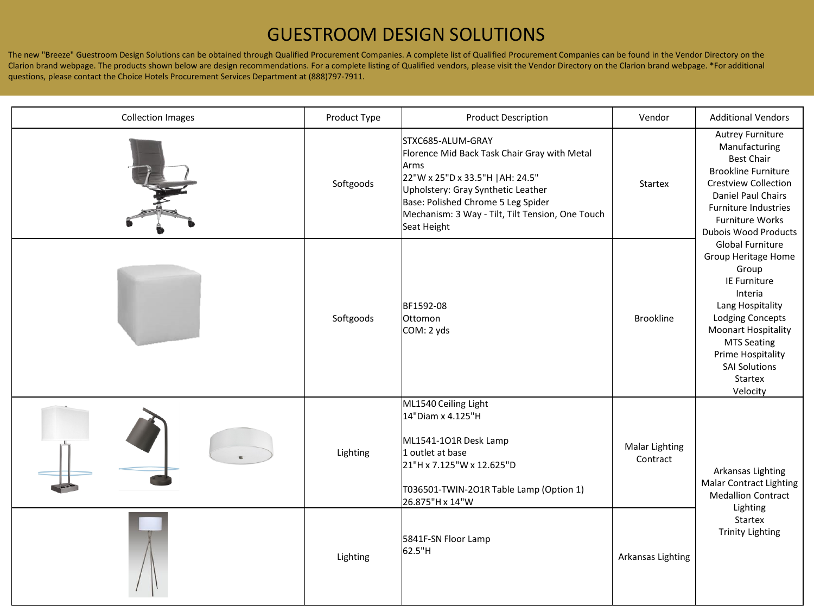### GUESTROOM DESIGN SOLUTIONS

The new "Breeze" Guestroom Design Solutions can be obtained through Qualified Procurement Companies. A complete list of Qualified Procurement Companies can be found in the Vendor Directory on the Clarion brand webpage. The products shown below are design recommendations. For a complete listing of Qualified vendors, please visit the Vendor Directory on the Clarion brand webpage. \*For additional questions, please contact the Choice Hotels Procurement Services Department at (888)797-7911.

| <b>Collection Images</b> | Product Type | <b>Product Description</b>                                                                                                                                                                                                                                   | Vendor                            | <b>Additional Vendors</b>                                                                                                                                                                                                                                 |
|--------------------------|--------------|--------------------------------------------------------------------------------------------------------------------------------------------------------------------------------------------------------------------------------------------------------------|-----------------------------------|-----------------------------------------------------------------------------------------------------------------------------------------------------------------------------------------------------------------------------------------------------------|
|                          | Softgoods    | STXC685-ALUM-GRAY<br>Florence Mid Back Task Chair Gray with Metal<br>Arms<br>22"W x 25"D x 33.5"H   AH: 24.5"<br>Upholstery: Gray Synthetic Leather<br>Base: Polished Chrome 5 Leg Spider<br>Mechanism: 3 Way - Tilt, Tilt Tension, One Touch<br>Seat Height | <b>Startex</b>                    | <b>Autrey Furniture</b><br>Manufacturing<br><b>Best Chair</b><br><b>Brookline Furniture</b><br><b>Crestview Collection</b><br>Daniel Paul Chairs<br>Furniture Industries<br><b>Furniture Works</b><br><b>Dubois Wood Products</b>                         |
|                          | Softgoods    | BF1592-08<br>Ottomon<br>COM: 2 yds                                                                                                                                                                                                                           | <b>Brookline</b>                  | Global Furniture<br>Group Heritage Home<br>Group<br>IE Furniture<br>Interia<br>Lang Hospitality<br><b>Lodging Concepts</b><br><b>Moonart Hospitality</b><br><b>MTS Seating</b><br>Prime Hospitality<br><b>SAI Solutions</b><br><b>Startex</b><br>Velocity |
|                          | Lighting     | ML1540 Ceiling Light<br>14"Diam x 4.125"H<br>ML1541-101R Desk Lamp<br>1 outlet at base<br>21"H x 7.125"W x 12.625"D<br>T036501-TWIN-2O1R Table Lamp (Option 1)<br>26.875"H x 14"W                                                                            | <b>Malar Lighting</b><br>Contract | Arkansas Lighting<br><b>Malar Contract Lighting</b><br><b>Medallion Contract</b><br>Lighting                                                                                                                                                              |
|                          | Lighting     | 5841F-SN Floor Lamp<br>62.5"H                                                                                                                                                                                                                                | Arkansas Lighting                 | Startex<br><b>Trinity Lighting</b>                                                                                                                                                                                                                        |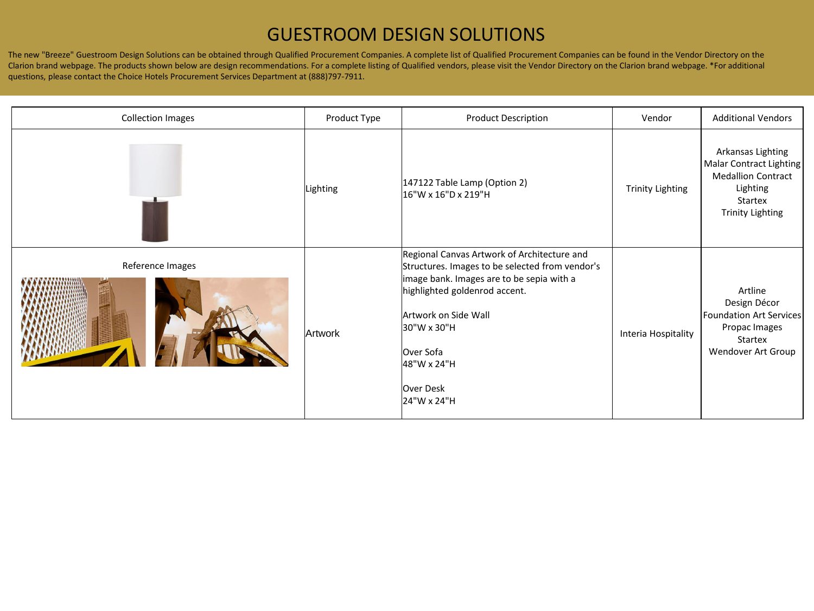### GUESTROOM DESIGN SOLUTIONS

The new "Breeze" Guestroom Design Solutions can be obtained through Qualified Procurement Companies. A complete list of Qualified Procurement Companies can be found in the Vendor Directory on the Clarion brand webpage. The products shown below are design recommendations. For a complete listing of Qualified vendors, please visit the Vendor Directory on the Clarion brand webpage. \*For additional questions, please contact the Choice Hotels Procurement Services Department at (888)797-7911.

| <b>Collection Images</b> | Product Type | <b>Product Description</b>                                                                                                                                                                                                                                                  | Vendor                  | <b>Additional Vendors</b>                                                                                                   |
|--------------------------|--------------|-----------------------------------------------------------------------------------------------------------------------------------------------------------------------------------------------------------------------------------------------------------------------------|-------------------------|-----------------------------------------------------------------------------------------------------------------------------|
|                          | Lighting     | 147122 Table Lamp (Option 2)<br>16"W x 16"D x 219"H                                                                                                                                                                                                                         | <b>Trinity Lighting</b> | Arkansas Lighting<br>Malar Contract Lighting<br><b>Medallion Contract</b><br>Lighting<br>Startex<br><b>Trinity Lighting</b> |
| Reference Images         | Artwork      | Regional Canvas Artwork of Architecture and<br>Structures. Images to be selected from vendor's<br>image bank. Images are to be sepia with a<br>highlighted goldenrod accent.<br>Artwork on Side Wall<br>30"W x 30"H<br>Over Sofa<br>48"W x 24"H<br>Over Desk<br>24"W x 24"H | Interia Hospitality     | Artline<br>Design Décor<br><b>Foundation Art Services</b><br>Propac Images<br>Startex<br>Wendover Art Group                 |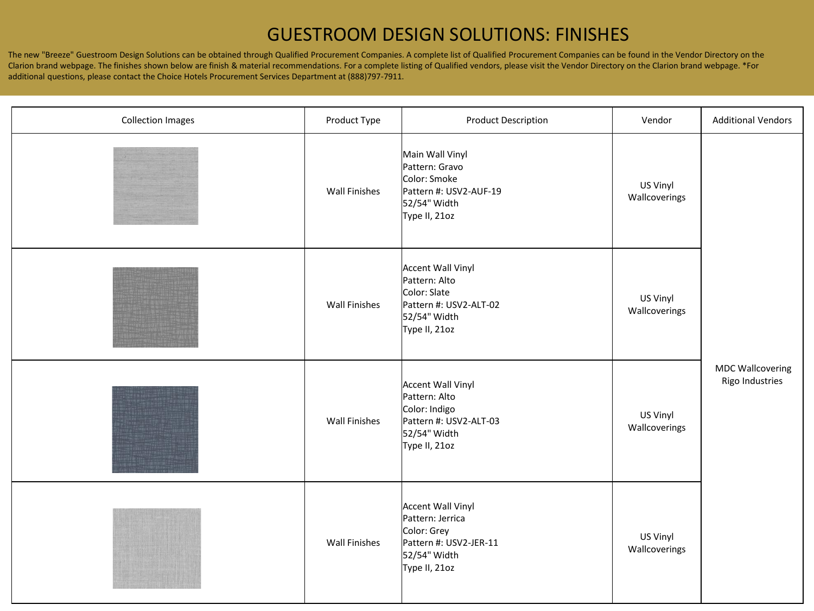#### GUESTROOM DESIGN SOLUTIONS: FINISHES

The new "Breeze" Guestroom Design Solutions can be obtained through Qualified Procurement Companies. A complete list of Qualified Procurement Companies can be found in the Vendor Directory on the Clarion brand webpage. The finishes shown below are finish & material recommendations. For a complete listing of Qualified vendors, please visit the Vendor Directory on the Clarion brand webpage. \*For additional questions, please contact the Choice Hotels Procurement Services Department at (888)797-7911.

| <b>Collection Images</b> | Product Type         | <b>Product Description</b>                                                                                             | Vendor                    | <b>Additional Vendors</b>                  |
|--------------------------|----------------------|------------------------------------------------------------------------------------------------------------------------|---------------------------|--------------------------------------------|
|                          | Wall Finishes        | Main Wall Vinyl<br>Pattern: Gravo<br>Color: Smoke<br>Pattern #: USV2-AUF-19<br>52/54" Width<br>Type II, 21oz           | US Vinyl<br>Wallcoverings |                                            |
|                          | <b>Wall Finishes</b> | <b>Accent Wall Vinyl</b><br>Pattern: Alto<br>Color: Slate<br>Pattern #: USV2-ALT-02<br>52/54" Width<br>Type II, 21oz   | US Vinyl<br>Wallcoverings |                                            |
|                          | <b>Wall Finishes</b> | <b>Accent Wall Vinyl</b><br>Pattern: Alto<br>Color: Indigo<br>Pattern #: USV2-ALT-03<br>52/54" Width<br>Type II, 21oz  | US Vinyl<br>Wallcoverings | <b>MDC Wallcovering</b><br>Rigo Industries |
|                          | <b>Wall Finishes</b> | <b>Accent Wall Vinyl</b><br>Pattern: Jerrica<br>Color: Grey<br>Pattern #: USV2-JER-11<br>52/54" Width<br>Type II, 21oz | US Vinyl<br>Wallcoverings |                                            |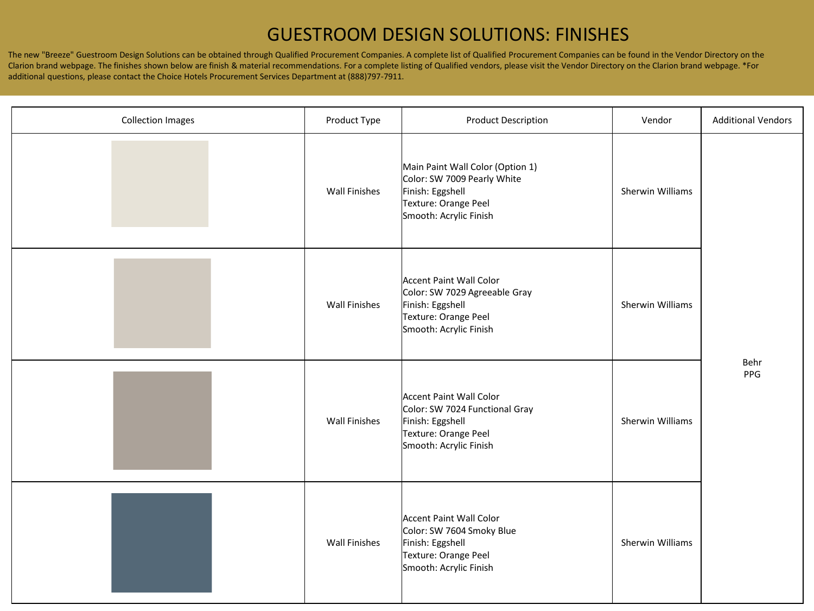### GUESTROOM DESIGN SOLUTIONS: FINISHES

The new "Breeze" Guestroom Design Solutions can be obtained through Qualified Procurement Companies. A complete list of Qualified Procurement Companies can be found in the Vendor Directory on the Clarion brand webpage. The finishes shown below are finish & material recommendations. For a complete listing of Qualified vendors, please visit the Vendor Directory on the Clarion brand webpage. \*For additional questions, please contact the Choice Hotels Procurement Services Department at (888)797-7911.

| <b>Collection Images</b> | Product Type         | <b>Product Description</b>                                                                                                             | Vendor           | <b>Additional Vendors</b> |
|--------------------------|----------------------|----------------------------------------------------------------------------------------------------------------------------------------|------------------|---------------------------|
|                          | <b>Wall Finishes</b> | Main Paint Wall Color (Option 1)<br>Color: SW 7009 Pearly White<br>Finish: Eggshell<br>Texture: Orange Peel<br>Smooth: Acrylic Finish  | Sherwin Williams |                           |
|                          | <b>Wall Finishes</b> | <b>Accent Paint Wall Color</b><br>Color: SW 7029 Agreeable Gray<br>Finish: Eggshell<br>Texture: Orange Peel<br>Smooth: Acrylic Finish  | Sherwin Williams |                           |
|                          | <b>Wall Finishes</b> | <b>Accent Paint Wall Color</b><br>Color: SW 7024 Functional Gray<br>Finish: Eggshell<br>Texture: Orange Peel<br>Smooth: Acrylic Finish | Sherwin Williams | Behr<br>PPG               |
|                          | <b>Wall Finishes</b> | <b>Accent Paint Wall Color</b><br>Color: SW 7604 Smoky Blue<br>Finish: Eggshell<br>Texture: Orange Peel<br>Smooth: Acrylic Finish      | Sherwin Williams |                           |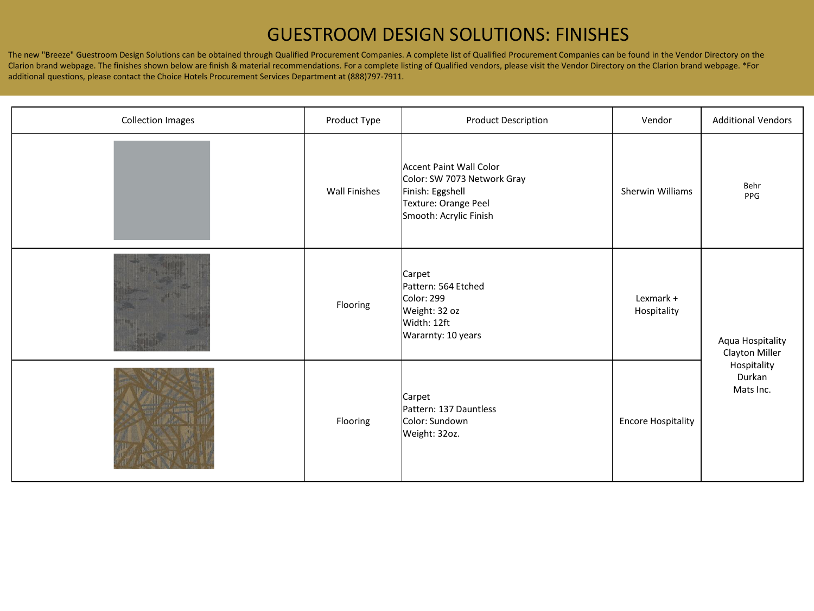### GUESTROOM DESIGN SOLUTIONS: FINISHES

The new "Breeze" Guestroom Design Solutions can be obtained through Qualified Procurement Companies. A complete list of Qualified Procurement Companies can be found in the Vendor Directory on the Clarion brand webpage. The finishes shown below are finish & material recommendations. For a complete listing of Qualified vendors, please visit the Vendor Directory on the Clarion brand webpage. \*For additional questions, please contact the Choice Hotels Procurement Services Department at (888)797-7911.

| <b>Collection Images</b> | Product Type         | <b>Product Description</b>                                                                                                   | Vendor                    | <b>Additional Vendors</b>          |
|--------------------------|----------------------|------------------------------------------------------------------------------------------------------------------------------|---------------------------|------------------------------------|
|                          | <b>Wall Finishes</b> | Accent Paint Wall Color<br>Color: SW 7073 Network Gray<br>Finish: Eggshell<br>Texture: Orange Peel<br>Smooth: Acrylic Finish | Sherwin Williams          | Behr<br>PPG                        |
|                          | Flooring             | Carpet<br>Pattern: 564 Etched<br>Color: 299<br>Weight: 32 oz<br>Width: 12ft<br>Wararnty: 10 years                            | Lexmark +<br>Hospitality  | Aqua Hospitality<br>Clayton Miller |
|                          | Flooring             | Carpet<br>Pattern: 137 Dauntless<br>Color: Sundown<br>Weight: 32oz.                                                          | <b>Encore Hospitality</b> | Hospitality<br>Durkan<br>Mats Inc. |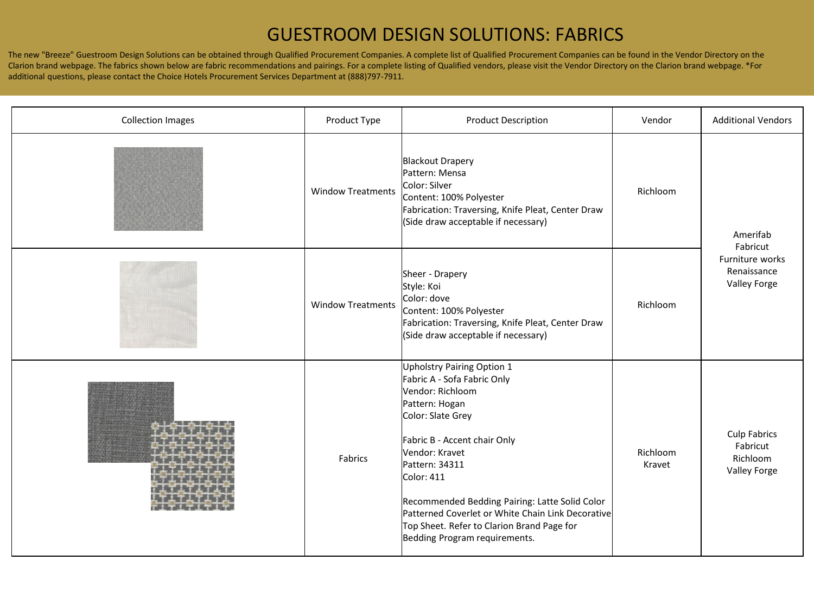### GUESTROOM DESIGN SOLUTIONS: FABRICS

The new "Breeze" Guestroom Design Solutions can be obtained through Qualified Procurement Companies. A complete list of Qualified Procurement Companies can be found in the Vendor Directory on the Clarion brand webpage. The fabrics shown below are fabric recommendations and pairings. For a complete listing of Qualified vendors, please visit the Vendor Directory on the Clarion brand webpage. \*For additional questions, please contact the Choice Hotels Procurement Services Department at (888)797-7911.

| <b>Collection Images</b> | Product Type             | <b>Product Description</b>                                                                                                                                                                                                                                                                                                                                                                    | Vendor             | <b>Additional Vendors</b>                                   |
|--------------------------|--------------------------|-----------------------------------------------------------------------------------------------------------------------------------------------------------------------------------------------------------------------------------------------------------------------------------------------------------------------------------------------------------------------------------------------|--------------------|-------------------------------------------------------------|
|                          | <b>Window Treatments</b> | <b>Blackout Drapery</b><br>Pattern: Mensa<br>Color: Silver<br>Content: 100% Polyester<br>Fabrication: Traversing, Knife Pleat, Center Draw<br>(Side draw acceptable if necessary)                                                                                                                                                                                                             | Richloom           | Amerifab<br>Fabricut                                        |
|                          | <b>Window Treatments</b> | Sheer - Drapery<br>Style: Koi<br>Color: dove<br>Content: 100% Polyester<br>Fabrication: Traversing, Knife Pleat, Center Draw<br>(Side draw acceptable if necessary)                                                                                                                                                                                                                           | Richloom           | Furniture works<br>Renaissance<br>Valley Forge              |
|                          | Fabrics                  | Upholstry Pairing Option 1<br>Fabric A - Sofa Fabric Only<br>Vendor: Richloom<br>Pattern: Hogan<br>Color: Slate Grey<br>Fabric B - Accent chair Only<br>Vendor: Kravet<br>Pattern: 34311<br>Color: 411<br>Recommended Bedding Pairing: Latte Solid Color<br>Patterned Coverlet or White Chain Link Decorativel<br>Top Sheet. Refer to Clarion Brand Page for<br>Bedding Program requirements. | Richloom<br>Kravet | <b>Culp Fabrics</b><br>Fabricut<br>Richloom<br>Valley Forge |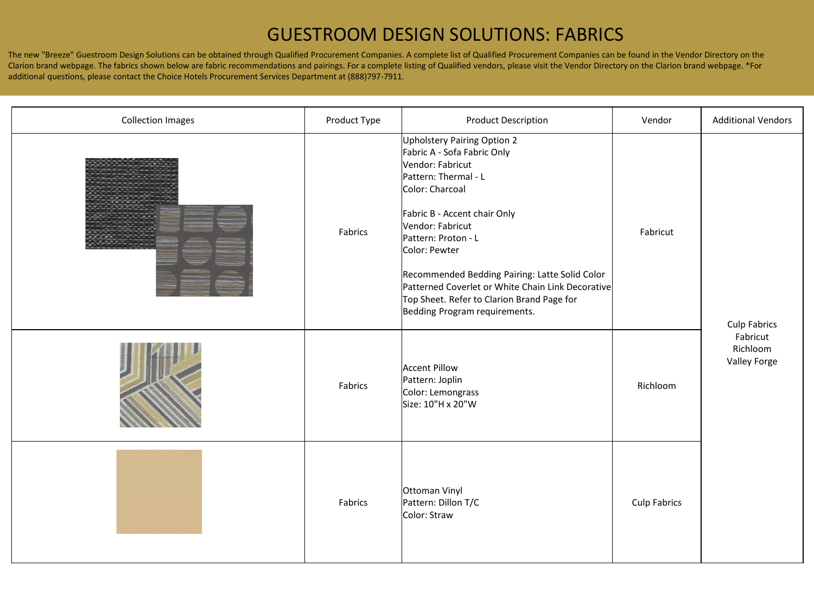### GUESTROOM DESIGN SOLUTIONS: FABRICS

The new "Breeze" Guestroom Design Solutions can be obtained through Qualified Procurement Companies. A complete list of Qualified Procurement Companies can be found in the Vendor Directory on the Clarion brand webpage. The fabrics shown below are fabric recommendations and pairings. For a complete listing of Qualified vendors, please visit the Vendor Directory on the Clarion brand webpage. \*For additional questions, please contact the Choice Hotels Procurement Services Department at (888)797-7911.

| <b>Collection Images</b> | Product Type | <b>Product Description</b>                                                                                                                                                                                                                                                                                                                                                                                  | Vendor              | <b>Additional Vendors</b>            |
|--------------------------|--------------|-------------------------------------------------------------------------------------------------------------------------------------------------------------------------------------------------------------------------------------------------------------------------------------------------------------------------------------------------------------------------------------------------------------|---------------------|--------------------------------------|
|                          | Fabrics      | Upholstery Pairing Option 2<br>Fabric A - Sofa Fabric Only<br>Vendor: Fabricut<br>Pattern: Thermal - L<br>Color: Charcoal<br>Fabric B - Accent chair Only<br>Vendor: Fabricut<br>Pattern: Proton - L<br>Color: Pewter<br>Recommended Bedding Pairing: Latte Solid Color<br>Patterned Coverlet or White Chain Link Decorative<br>Top Sheet. Refer to Clarion Brand Page for<br>Bedding Program requirements. | Fabricut            | <b>Culp Fabrics</b>                  |
|                          | Fabrics      | <b>Accent Pillow</b><br>Pattern: Joplin<br>Color: Lemongrass<br>Size: 10"H x 20"W                                                                                                                                                                                                                                                                                                                           | Richloom            | Fabricut<br>Richloom<br>Valley Forge |
|                          | Fabrics      | Ottoman Vinyl<br>Pattern: Dillon T/C<br>Color: Straw                                                                                                                                                                                                                                                                                                                                                        | <b>Culp Fabrics</b> |                                      |